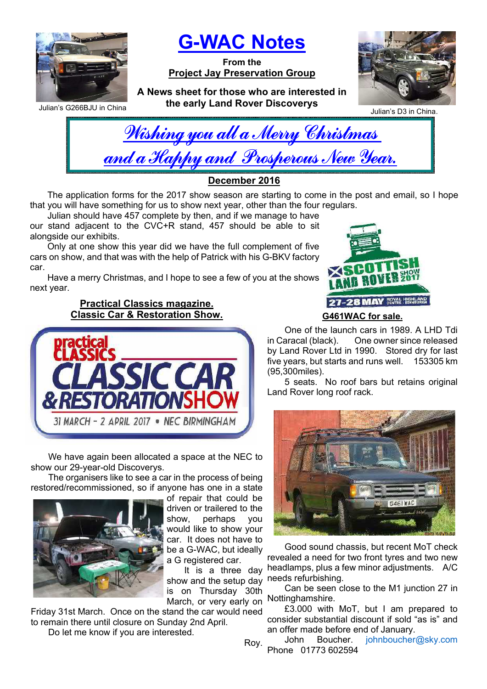

Julian's G266BJU in China

G-WAC Notes

From the Project Jay Preservation Group

A News sheet for those who are interested in the early Land Rover Discoverys



Julian's D3 in China.

| Wishing you all a Merry Christmas    |  |  |  |
|--------------------------------------|--|--|--|
| and a Happy and Prosperous New Year. |  |  |  |
|                                      |  |  |  |
| <u> R. AAJA</u>                      |  |  |  |

December 2016

The application forms for the 2017 show season are starting to come in the post and email, so I hope that you will have something for us to show next year, other than the four regulars.

Julian should have 457 complete by then, and if we manage to have our stand adjacent to the CVC+R stand, 457 should be able to sit alongside our exhibits.

Only at one show this year did we have the full complement of five cars on show, and that was with the help of Patrick with his G-BKV factory car.

Have a merry Christmas, and I hope to see a few of you at the shows next year.

> Practical Classics magazine. Classic Car & Restoration Show.



We have again been allocated a space at the NEC to show our 29-year-old Discoverys.

The organisers like to see a car in the process of being restored/recommissioned, so if anyone has one in a state



of repair that could be driven or trailered to the show, perhaps you would like to show your car. It does not have to be a G-WAC, but ideally a G registered car.

March, or very early on Nottinghamshire. It is a three day show and the setup day is on Thursday 30th

Friday 31st March. Once on the stand the car would need to remain there until closure on Sunday 2nd April.

Do let me know if you are interested.



One of the launch cars in 1989. A LHD Tdi in Caracal (black). One owner since released by Land Rover Ltd in 1990. Stored dry for last five years, but starts and runs well. 153305 km (95,300miles).

5 seats. No roof bars but retains original Land Rover long roof rack.



Good sound chassis, but recent MoT check revealed a need for two front tyres and two new headlamps, plus a few minor adjustments. A/C needs refurbishing.

Can be seen close to the M1 junction 27 in

£3.000 with MoT, but I am prepared to consider substantial discount if sold "as is" and an offer made before end of January.<br>John Boucher. johnboucher John Boucher. johnboucher@sky.com

Phone 01773 602594

Roy.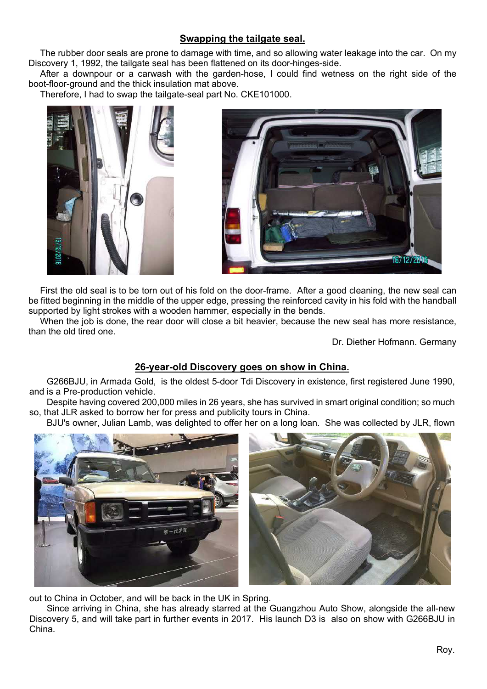# Swapping the tailgate seal.

The rubber door seals are prone to damage with time, and so allowing water leakage into the car. On my Discovery 1, 1992, the tailgate seal has been flattened on its door-hinges-side.

After a downpour or a carwash with the garden-hose, I could find wetness on the right side of the boot-floor-ground and the thick insulation mat above.

Therefore, I had to swap the tailgate-seal part No. CKE101000.





First the old seal is to be torn out of his fold on the door-frame. After a good cleaning, the new seal can be fitted beginning in the middle of the upper edge, pressing the reinforced cavity in his fold with the handball supported by light strokes with a wooden hammer, especially in the bends.

When the job is done, the rear door will close a bit heavier, because the new seal has more resistance, than the old tired one.

Dr. Diether Hofmann. Germany

## 26-year-old Discovery goes on show in China.

G266BJU, in Armada Gold, is the oldest 5-door Tdi Discovery in existence, first registered June 1990, and is a Pre-production vehicle.

Despite having covered 200,000 miles in 26 years, she has survived in smart original condition; so much so, that JLR asked to borrow her for press and publicity tours in China.

BJU's owner, Julian Lamb, was delighted to offer her on a long loan. She was collected by JLR, flown



out to China in October, and will be back in the UK in Spring.

Since arriving in China, she has already starred at the Guangzhou Auto Show, alongside the all-new Discovery 5, and will take part in further events in 2017. His launch D3 is also on show with G266BJU in China.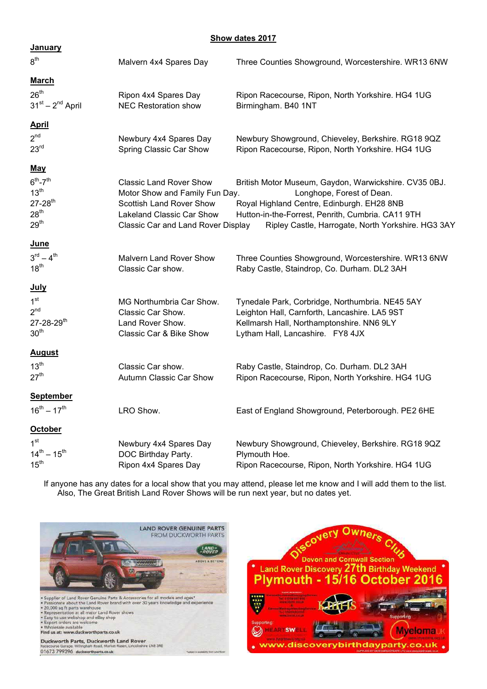### Show dates 2017

| <u>January</u>                                                                                     |                                                                                                                                                                        |                                                                                                                                                                                                                                             |
|----------------------------------------------------------------------------------------------------|------------------------------------------------------------------------------------------------------------------------------------------------------------------------|---------------------------------------------------------------------------------------------------------------------------------------------------------------------------------------------------------------------------------------------|
| 8 <sup>th</sup>                                                                                    | Malvern 4x4 Spares Day                                                                                                                                                 | Three Counties Showground, Worcestershire. WR13 6NW                                                                                                                                                                                         |
| <u>March</u>                                                                                       |                                                                                                                                                                        |                                                                                                                                                                                                                                             |
| $26^{\text{th}}$<br>$31st - 2nd$ April                                                             | Ripon 4x4 Spares Day<br><b>NEC Restoration show</b>                                                                                                                    | Ripon Racecourse, Ripon, North Yorkshire. HG4 1UG<br>Birmingham. B40 1NT                                                                                                                                                                    |
| <u>April</u>                                                                                       |                                                                                                                                                                        |                                                                                                                                                                                                                                             |
| 2 <sup>nd</sup><br>23 <sup>rd</sup>                                                                | Newbury 4x4 Spares Day<br>Spring Classic Car Show                                                                                                                      | Newbury Showground, Chieveley, Berkshire. RG18 9QZ<br>Ripon Racecourse, Ripon, North Yorkshire. HG4 1UG                                                                                                                                     |
| <u>May</u>                                                                                         |                                                                                                                                                                        |                                                                                                                                                                                                                                             |
| $6th - 7th$<br>13 <sup>th</sup><br>$27 - 28$ <sup>th</sup><br>28 <sup>th</sup><br>29 <sup>th</sup> | <b>Classic Land Rover Show</b><br>Motor Show and Family Fun Day.<br><b>Scottish Land Rover Show</b><br>Lakeland Classic Car Show<br>Classic Car and Land Rover Display | British Motor Museum, Gaydon, Warwickshire. CV35 0BJ.<br>Longhope, Forest of Dean.<br>Royal Highland Centre, Edinburgh. EH28 8NB<br>Hutton-in-the-Forrest, Penrith, Cumbria. CA11 9TH<br>Ripley Castle, Harrogate, North Yorkshire. HG3 3AY |
| <u>June</u>                                                                                        |                                                                                                                                                                        |                                                                                                                                                                                                                                             |
| $3^{rd} - 4^{th}$<br>18 <sup>th</sup>                                                              | <b>Malvern Land Rover Show</b><br>Classic Car show.                                                                                                                    | Three Counties Showground, Worcestershire. WR13 6NW<br>Raby Castle, Staindrop, Co. Durham. DL2 3AH                                                                                                                                          |
| <b>July</b>                                                                                        |                                                                                                                                                                        |                                                                                                                                                                                                                                             |
| 1 <sup>st</sup><br>2 <sup>nd</sup><br>$27 - 28 - 29$ <sup>th</sup><br>30 <sup>th</sup>             | MG Northumbria Car Show.<br>Classic Car Show.<br>Land Rover Show.<br>Classic Car & Bike Show                                                                           | Tynedale Park, Corbridge, Northumbria. NE45 5AY<br>Leighton Hall, Carnforth, Lancashire. LA5 9ST<br>Kellmarsh Hall, Northamptonshire. NN6 9LY<br>Lytham Hall, Lancashire. FY8 4JX                                                           |
| <b>August</b>                                                                                      |                                                                                                                                                                        |                                                                                                                                                                                                                                             |
| 13 <sup>th</sup><br>27 <sup>th</sup>                                                               | Classic Car show.<br>Autumn Classic Car Show                                                                                                                           | Raby Castle, Staindrop, Co. Durham. DL2 3AH<br>Ripon Racecourse, Ripon, North Yorkshire. HG4 1UG                                                                                                                                            |
| <b>September</b>                                                                                   |                                                                                                                                                                        |                                                                                                                                                                                                                                             |
| $16^{th} - 17^{th}$                                                                                | LRO Show.                                                                                                                                                              | East of England Showground, Peterborough. PE2 6HE                                                                                                                                                                                           |
| <b>October</b>                                                                                     |                                                                                                                                                                        |                                                                                                                                                                                                                                             |
| 1 <sup>st</sup><br>$14^{th} - 15^{th}$<br>15 <sup>th</sup>                                         | Newbury 4x4 Spares Day<br>DOC Birthday Party.<br>Ripon 4x4 Spares Day                                                                                                  | Newbury Showground, Chieveley, Berkshire. RG18 9QZ<br>Plymouth Hoe.<br>Ripon Racecourse, Ripon, North Yorkshire. HG4 1UG                                                                                                                    |
|                                                                                                    |                                                                                                                                                                        |                                                                                                                                                                                                                                             |

 If anyone has any dates for a local show that you may attend, please let me know and I will add them to the list. Also, The Great British Land Rover Shows will be run next year, but no dates yet.